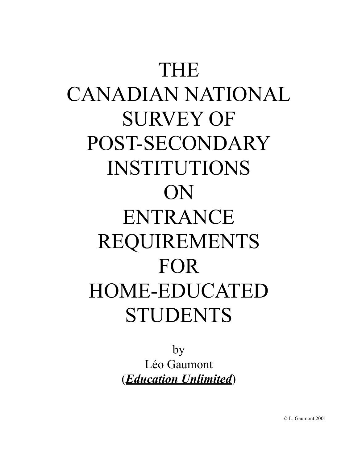# THE CANADIAN NATIONAL SURVEY OF POST-SECONDARY INSTITUTIONS ON ENTRANCE REQUIREMENTS FOR HOME-EDUCATED STUDENTS

by Léo Gaumont (*Education Unlimited*)

© L. Gaumont 2001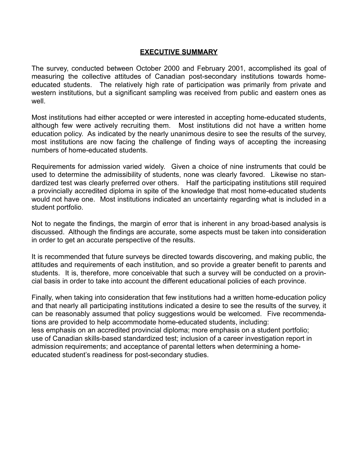### **EXECUTIVE SUMMARY**

The survey, conducted between October 2000 and February 2001, accomplished its goal of measuring the collective attitudes of Canadian post-secondary institutions towards homeeducated students. The relatively high rate of participation was primarily from private and western institutions, but a significant sampling was received from public and eastern ones as well.

Most institutions had either accepted or were interested in accepting home-educated students, although few were actively recruiting them. Most institutions did not have a written home education policy. As indicated by the nearly unanimous desire to see the results of the survey, most institutions are now facing the challenge of finding ways of accepting the increasing numbers of home-educated students.

Requirements for admission varied widely. Given a choice of nine instruments that could be used to determine the admissibility of students, none was clearly favored. Likewise no standardized test was clearly preferred over others. Half the participating institutions still required a provincially accredited diploma in spite of the knowledge that most home-educated students would not have one. Most institutions indicated an uncertainty regarding what is included in a student portfolio.

Not to negate the findings, the margin of error that is inherent in any broad-based analysis is discussed. Although the findings are accurate, some aspects must be taken into consideration in order to get an accurate perspective of the results.

It is recommended that future surveys be directed towards discovering, and making public, the attitudes and requirements of each institution, and so provide a greater benefit to parents and students. It is, therefore, more conceivable that such a survey will be conducted on a provincial basis in order to take into account the different educational policies of each province.

Finally, when taking into consideration that few institutions had a written home-education policy and that nearly all participating institutions indicated a desire to see the results of the survey, it can be reasonably assumed that policy suggestions would be welcomed. Five recommendations are provided to help accommodate home-educated students, including: less emphasis on an accredited provincial diploma; more emphasis on a student portfolio; use of Canadian skills-based standardized test; inclusion of a career investigation report in admission requirements; and acceptance of parental letters when determining a homeeducated student's readiness for post-secondary studies.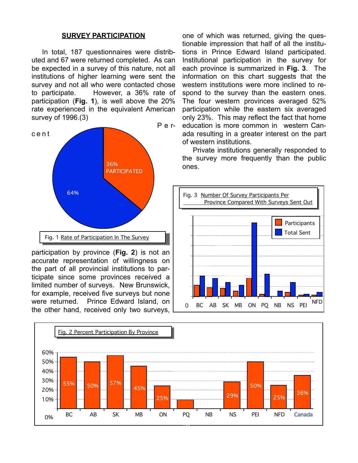#### **SURVEY PARTICIPATION**

In total, 187 questionnaires were distributed and 67 were returned completed. As can be expected in a survey of this nature, not all institutions of higher learning were sent the survey and not all who were contacted chose to participate. However, a 36% rate of participation (**Fig. 1**), is well above the 20% rate experienced in the equivalent American survey of 1996.(3)



participation by province (**Fig. 2**) is not an accurate representation of willingness on the part of all provincial institutions to participate since some provinces received a limited number of surveys. New Brunswick, for example, received five surveys but none were returned. Prince Edward Island, on the other hand, received only two surveys,

one of which was returned, giving the questionable impression that half of all the institutions in Prince Edward Island participated. Institutional participation in the survey for each province is summarized in **Fig. 3**. The information on this chart suggests that the western institutions were more inclined to respond to the survey than the eastern ones. The four western provinces averaged 52% participation while the eastern six averaged only 23%. This may reflect the fact that home education is more common in western Canada resulting in a greater interest on the part of western institutions.

Private institutions generally responded to the survey more frequently than the public



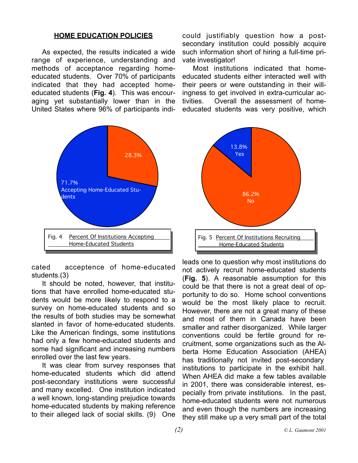#### **HOME EDUCATION POLICIES**

As expected, the results indicated a wide range of experience, understanding and methods of acceptance regarding homeeducated students. Over 70% of participants indicated that they had accepted homeeducated students (**Fig. 4**). This was encouraging yet substantially lower than in the United States where 96% of participants indi-



cated acceptence of home-educated students.(3)

It should be noted, however, that institutions that have enrolled home-educated students would be more likely to respond to a survey on home-educated students and so the results of both studies may be somewhat slanted in favor of home-educated students. Like the American findings, some institutions had only a few home-educated students and some had significant and increasing numbers enrolled over the last few years.

It was clear from survey responses that home-educated students which did attend post-secondary institutions were successful and many excelled. One institution indicated a well known, long-standing prejudice towards home-educated students by making reference to their alleged lack of social skills. (9) One

could justifiably question how a postsecondary institution could possibly acquire such information short of hiring a full-time private investigator!

Most institutions indicated that homeeducated students either interacted well with their peers or were outstanding in their willingness to get involved in extra-curricular activities. Overall the assessment of homeeducated students was very positive, which



leads one to question why most institutions do not actively recruit home-educated students (**Fig. 5**). A reasonable assumption for this could be that there is not a great deal of opportunity to do so. Home school conventions would be the most likely place to recruit. However, there are not a great many of these and most of them in Canada have been smaller and rather disorganized. While larger conventions could be fertile ground for recruitment, some organizations such as the Alberta Home Education Association (AHEA) has traditionally not invited post-secondary institutions to participate in the exhibit hall. When AHEA did make a few tables available in 2001, there was considerable interest, especially from private institutions. In the past, home-educated students were not numerous and even though the numbers are increasing they still make up a very small part of the total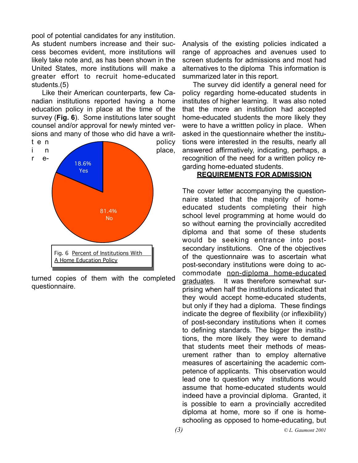pool of potential candidates for any institution. As student numbers increase and their success becomes evident, more institutions will likely take note and, as has been shown in the United States, more institutions will make a greater effort to recruit home-educated students.(5)

Like their American counterparts, few Canadian institutions reported having a home education policy in place at the time of the survey (**Fig. 6**). Some institutions later sought counsel and/or approval for newly minted versions and many of those who did have a writ-



turned copies of them with the completed questionnaire.

Analysis of the existing policies indicated a range of approaches and avenues used to screen students for admissions and most had alternatives to the diploma This information is summarized later in this report.

The survey did identify a general need for policy regarding home-educated students in institutes of higher learning. It was also noted that the more an institution had accepted home-educated students the more likely they were to have a writtten policy in place. When asked in the questionnaire whether the institutions were interested in the results, nearly all answered affirmatively, indicating, perhaps, a recognition of the need for a written policy regarding home-eduated students.

#### **REQUIREMENTS FOR ADMISSION**

The cover letter accompanying the questionnaire stated that the majority of homeeducated students completing their high school level programming at home would do so without earning the provincially accredited diploma and that some of these students would be seeking entrance into postsecondary institutions. One of the objectives of the questionnaire was to ascertain what post-secondary institutions were doing to accommodate non-diploma home-educated graduates. It was therefore somewhat surprising when half the institutions indicated that they would accept home-educated students, but only if they had a diploma. These findings indicate the degree of flexibility (or inflexibility) of post-secondary institutions when it comes to defining standards. The bigger the institutions, the more likely they were to demand that students meet their methods of measurement rather than to employ alternative measures of ascertaining the academic competence of applicants. This observation would lead one to question why institutions would assume that home-educated students would indeed have a provincial diploma. Granted, it is possible to earn a provincially accredited diploma at home, more so if one is homeschooling as opposed to home-educating, but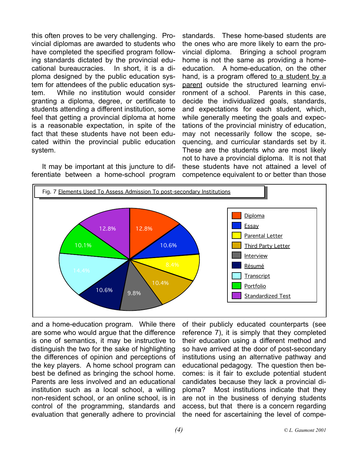this often proves to be very challenging. Provincial diplomas are awarded to students who have completed the specified program following standards dictated by the provincial educational bureaucracies. In short, it is a diploma designed by the public education system for attendees of the public education system. While no institution would consider granting a diploma, degree, or certificate to students attending a different institution, some feel that getting a provincial diploma at home is a reasonable expectation, in spite of the fact that these students have not been educated within the provincial public education system.

It may be important at this juncture to differentiate between a home-school program

standards. These home-based students are the ones who are more likely to earn the provincial diploma. Bringing a school program home is not the same as providing a homeeducation. A home-education, on the other hand, is a program offered to a student by a parent outside the structured learning environment of a school. Parents in this case, decide the individualized goals, standards, and expectations for each student, which, while generally meeting the goals and expectations of the provincial ministry of education, may not necessarily follow the scope, sequencing, and curricular standards set by it. These are the students who are most likely not to have a provincial diploma. It is not that these students have not attained a level of competence equivalent to or better than those



and a home-education program. While there are some who would argue that the difference is one of semantics, it may be instructive to distinguish the two for the sake of highlighting the differences of opinion and perceptions of the key players. A home school program can best be defined as bringing the school home. Parents are less involved and an educational institution such as a local school, a willing non-resident school, or an online school, is in control of the programming, standards and evaluation that generally adhere to provincial

of their publicly educated counterparts (see reference 7), it is simply that they completed their education using a different method and so have arrived at the door of post-secondary institutions using an alternative pathway and educational pedagogy. The question then becomes: is it fair to exclude potential student candidates because they lack a provincial diploma? Most institutions indicate that they are not in the business of denying students access, but that there is a concern regarding the need for ascertaining the level of compe-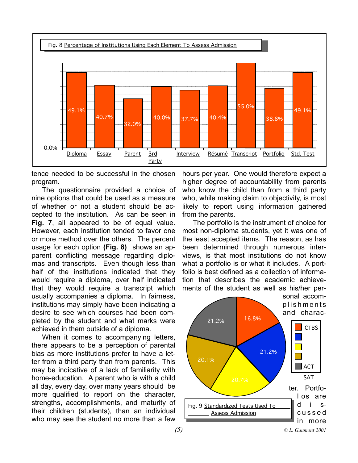

tence needed to be successful in the chosen program.

The questionnaire provided a choice of nine options that could be used as a measure of whether or not a student should be accepted to the institution. As can be seen in **Fig. 7**, all appeared to be of equal value. However, each institution tended to favor one or more method over the others. The percent usage for each option **(Fig. 8)** shows an apparent conflicting message regarding diplomas and transcripts. Even though less than half of the institutions indicated that they would require a diploma, over half indicated that they would require a transcript which usually accompanies a diploma. In fairness, institutions may simply have been indicating a desire to see which courses had been completed by the student and what marks were achieved in them outside of a diploma.

When it comes to accompanying letters, there appears to be a perception of parental bias as more institutions prefer to have a letter from a third party than from parents. This may be indicative of a lack of familiarity with home-education. A parent who is with a child all day, every day, over many years should be more qualified to report on the character, strengths, accomplishments, and maturity of their children (students), than an individual who may see the student no more than a few

hours per year. One would therefore expect a higher degree of accountability from parents who know the child than from a third party who, while making claim to objectivity, is most likely to report using information gathered from the parents.

The portfolio is the instrument of choice for most non-diploma students, yet it was one of the least accepted items. The reason, as has been determined through numerous interviews, is that most institutions do not know what a portfolio is or what it includes. A portfolio is best defined as a collection of information that describes the academic achievements of the student as well as his/her per-

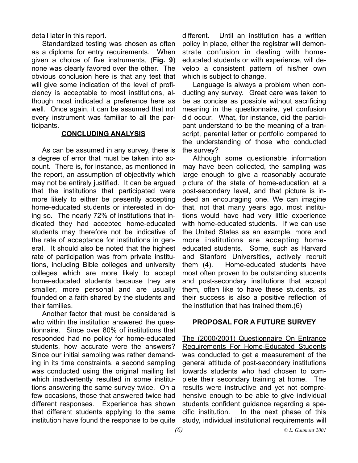detail later in this report.

Standardized testing was chosen as often as a diploma for entry requirements. When given a choice of five instruments, (**Fig. 9**) none was clearly favored over the other. The obvious conclusion here is that any test that will give some indication of the level of proficiency is acceptable to most institutions, although most indicated a preference here as well. Once again, it can be assumed that not every instrument was familiar to all the participants.

#### **CONCLUDING ANALYSIS**

As can be assumed in any survey, there is a degree of error that must be taken into account. There is, for instance, as mentioned in the report, an assumption of objectivity which may not be entirely justified. It can be argued that the institutions that participated were more likely to either be presently accepting home-educated students or interested in doing so. The nearly 72% of institutions that indicated they had accepted home-educated students may therefore not be indicative of the rate of acceptance for institutions in general. It should also be noted that the highest rate of participation was from private institutions, including Bible colleges and university colleges which are more likely to accept home-educated students because they are smaller, more personal and are usually founded on a faith shared by the students and their families.

Another factor that must be considered is who within the institution answered the questionnaire. Since over 80% of institutions that responded had no policy for home-educated students, how accurate were the answers? Since our initial sampling was rather demanding in its time constraints, a second sampling was conducted using the original mailing list which inadvertently resulted in some institutions answering the same survey twice. On a few occasions, those that answered twice had different responses. Experience has shown that different students applying to the same institution have found the response to be quite

different. Until an institution has a written policy in place, either the registrar will demonstrate confusion in dealing with homeeducated students or with experience, will develop a consistent pattern of his/her own which is subject to change.

Language is always a problem when conducting any survey. Great care was taken to be as concise as possible without sacrificing meaning in the questionnaire, yet confusion did occur. What, for instance, did the participant understand to be the meaning of a transcript, parental letter or portfolio compared to the understanding of those who conducted the survey?

Although some questionable information may have been collected, the sampling was large enough to give a reasonably accurate picture of the state of home-education at a post-secondary level, and that picture is indeed an encouraging one. We can imagine that, not that many years ago, most institutions would have had very little experience with home-educated students. If we can use the United States as an example, more and more institutions are accepting homeeducated students. Some, such as Harvard and Stanford Universities, actively recruit them (4). Home-educated students have most often proven to be outstanding students and post-secondary institutions that accept them, often like to have these students, as their success is also a positive reflection of the institution that has trained them.(6)

## **PROPOSAL FOR A FUTURE SURVEY**

The (2000/2001) Questionnaire On Entrance Requirements For Home-Educated Students was conducted to get a measurement of the general attitude of post-secondary institutions towards students who had chosen to complete their secondary training at home. The results were instructive and yet not comprehensive enough to be able to give individual students confident guidance regarding a specific institution. In the next phase of this study, individual institutional requirements will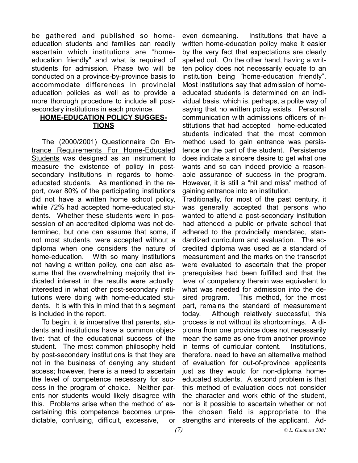be gathered and published so homeeducation students and families can readily ascertain which institutions are "homeeducation friendly" and what is required of students for admission. Phase two will be conducted on a province-by-province basis to accommodate differences in provincial education policies as well as to provide a more thorough procedure to include all postsecondary institutions in each province.

## **HOME-EDUCATION POLICY SUGGES-TIONS**

The (2000/2001) Questionnaire On Entrance Requirements For Home-Educated Students was designed as an instrument to measure the existence of policy in postsecondary institutions in regards to homeeducated students. As mentioned in the report, over 80% of the participating institutions did not have a written home school policy, while 72% had accepted home-educated students. Whether these students were in possession of an accredited diploma was not determined, but one can assume that some, if not most students, were accepted without a diploma when one considers the nature of home-education. With so many institutions not having a written policy, one can also assume that the overwhelming majority that indicated interest in the results were actually interested in what other post-secondary institutions were doing with home-educated students. It is with this in mind that this segment is included in the report.

To begin, it is imperative that parents, students and institutions have a common objective: that of the educational success of the student. The most common philosophy held by post-secondary institutions is that they are not in the business of denying any student access; however, there is a need to ascertain the level of competence necessary for success in the program of choice. Neither parents nor students would likely disagree with this. Problems arise when the method of ascertaining this competence becomes unpredictable, confusing, difficult, excessive, or

even demeaning. Institutions that have a written home-education policy make it easier by the very fact that expectations are clearly spelled out. On the other hand, having a written policy does not necessarily equate to an institution being "home-education friendly". Most institutions say that admission of homeeducated students is determined on an individual basis, which is, perhaps, a polite way of saying that no written policy exists. Personal communication with admissions officers of institutions that had accepted home-educated students indicated that the most common method used to gain entrance was persistence on the part of the student. Persistence does indicate a sincere desire to get what one wants and so can indeed provide a reasonable assurance of success in the program. However, it is still a "hit and miss" method of gaining entrance into an institution.

Traditionally, for most of the past century, it was generally accepted that persons who wanted to attend a post-secondary institution had attended a public or private school that adhered to the provincially mandated, standardized curriculum and evaluation. The accredited diploma was used as a standard of measurement and the marks on the transcript were evaluated to ascertain that the proper prerequisites had been fulfilled and that the level of competency therein was equivalent to what was needed for admission into the desired program. This method, for the most part, remains the standard of measurement today. Although relatively successful, this process is not without its shortcomings. A diploma from one province does not necessarily mean the same as one from another province in terms of curricular content. Institutions, therefore. need to have an alternative method of evaluation for out-of-province applicants just as they would for non-diploma homeeducated students. A second problem is that this method of evaluation does not consider the character and work ethic of the student, nor is it possible to ascertain whether or not the chosen field is appropriate to the strengths and interests of the applicant. Ad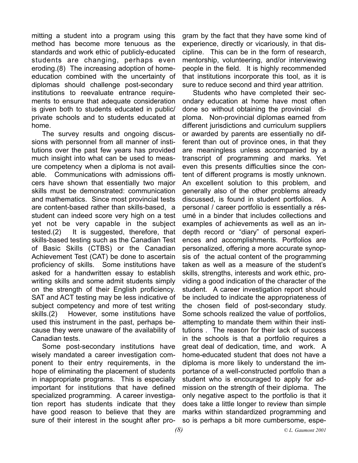mitting a student into a program using this method has become more tenuous as the standards and work ethic of publicly-educated students are changing, perhaps even eroding.(8) The increasing adoption of homeeducation combined with the uncertainty of diplomas should challenge post-secondary institutions to reevaluate entrance requirements to ensure that adequate consideration is given both to students educated in public/ private schools and to students educated at home.

The survey results and ongoing discussions with personnel from all manner of institutions over the past few years has provided much insight into what can be used to measure competency when a diploma is not available. Communications with admissions officers have shown that essentially two major skills must be demonstrated: communication and mathematics. Since most provincial tests are content-based rather than skills-based, a student can indeed score very high on a test yet not be very capable in the subject tested.(2) It is suggested, therefore, that skills-based testing such as the Canadian Test of Basic Skills (CTBS) or the Canadian Achievement Test (CAT) be done to ascertain proficiency of skills. Some institutions have asked for a handwritten essay to establish writing skills and some admit students simply on the strength of their English proficiency. SAT and ACT testing may be less indicative of subject competency and more of test writing skills.(2) However, some institutions have used this instrument in the past, perhaps because they were unaware of the availability of Canadian tests.

Some post-secondary institutions have wisely mandated a career investigation component to their entry requirements, in the hope of eliminating the placement of students in inappropriate programs. This is especially important for institutions that have defined specialized programming. A career investigation report has students indicate that they have good reason to believe that they are sure of their interest in the sought after pro-

gram by the fact that they have some kind of experience, directly or vicariously, in that discipline. This can be in the form of research, mentorship, volunteering, and/or interviewing people in the field. It is highly recommended that institutions incorporate this tool, as it is sure to reduce second and third year attrition.

Students who have completed their secondary education at home have most often done so without obtaining the provincial diploma. Non-provincial diplomas earned from different jurisdictions and curriculum suppliers or awarded by parents are essentially no different than out of province ones, in that they are meaningless unless accompanied by a transcript of programming and marks. Yet even this presents difficulties since the content of different programs is mostly unknown. An excellent solution to this problem, and generally also of the other problems already discussed, is found in student portfolios. A personal / career portfolio is essentially a résumé in a binder that includes collections and examples of achievements as well as an indepth record or "diary" of personal experiences and accomplishments. Portfolios are personalized, offering a more accurate synopsis of the actual content of the programming taken as well as a measure of the student's skills, strengths, interests and work ethic, providing a good indication of the character of the student. A career investigation report should be included to indicate the appropriateness of the chosen field of post-secondary study. Some schools realized the value of portfolios, attempting to mandate them within their institutions . The reason for their lack of success in the schools is that a portfolio requires a great deal of dedication, time, and work. A home-educated student that does not have a diploma is more likely to understand the importance of a well-constructed portfolio than a student who is encouraged to apply for admission on the strength of their diploma. The only negative aspect to the portfolio is that it does take a little longer to review than simple marks within standardized programming and so is perhaps a bit more cumbersome, espe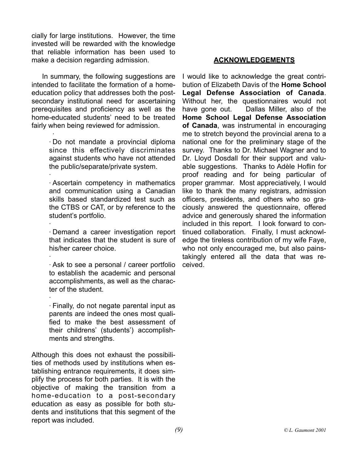cially for large institutions. However, the time invested will be rewarded with the knowledge that reliable information has been used to make a decision regarding admission.

In summary, the following suggestions are intended to facilitate the formation of a homeeducation policy that addresses both the postsecondary institutional need for ascertaining prerequisites and proficiency as well as the home-educated students' need to be treated fairly when being reviewed for admission.

·

·

· Do not mandate a provincial diploma since this effectively discriminates against students who have not attended the public/separate/private system.

· · Ascertain competency in mathematics and communication using a Canadian skills based standardized test such as the CTBS or CAT, or by reference to the student's portfolio.

· · Demand a career investigation report that indicates that the student is sure of his/her career choice.

· Ask to see a personal / career portfolio to establish the academic and personal accomplishments, as well as the character of the student.

· · Finally, do not negate parental input as parents are indeed the ones most qualified to make the best assessment of their childrens' (students') accomplishments and strengths.

Although this does not exhaust the possibilities of methods used by institutions when establishing entrance requirements, it does simplify the process for both parties. It is with the objective of making the transition from a home-education to a post-secondary education as easy as possible for both students and institutions that this segment of the report was included.

## **ACKNOWLEDGEMENTS**

I would like to acknowledge the great contribution of Elizabeth Davis of the **Home School Legal Defense Association of Canada**. Without her, the questionnaires would not have gone out. Dallas Miller, also of the **Home School Legal Defense Association of Canada**, was instrumental in encouraging me to stretch beyond the provincial arena to a national one for the preliminary stage of the survey. Thanks to Dr. Michael Wagner and to Dr. Lloyd Dosdall for their support and valuable suggestions. Thanks to Adèle Hoflin for proof reading and for being particular of proper grammar. Most appreciatively, I would like to thank the many registrars, admission officers, presidents, and others who so graciously answered the questionnaire, offered advice and generously shared the information included in this report. I look forward to continued collaboration. Finally, I must acknowledge the tireless contribution of my wife Faye, who not only encouraged me, but also painstakingly entered all the data that was received.